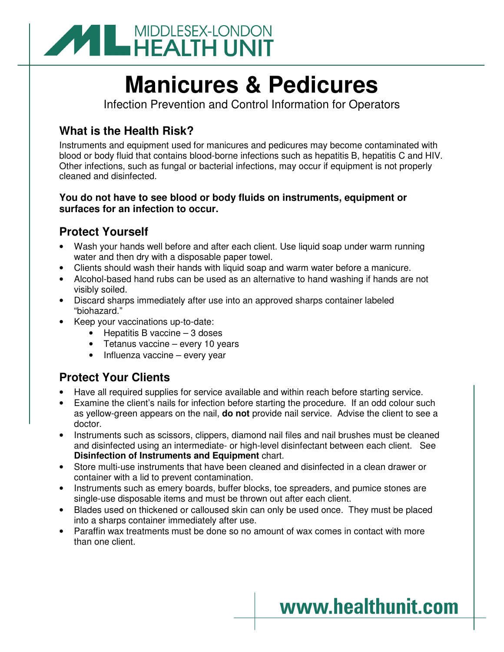

# **Manicures & Pedicures**

Infection Prevention and Control Information for Operators

## **What is the Health Risk?**

Instruments and equipment used for manicures and pedicures may become contaminated with blood or body fluid that contains blood-borne infections such as hepatitis B, hepatitis C and HIV. Other infections, such as fungal or bacterial infections, may occur if equipment is not properly cleaned and disinfected.

### **You do not have to see blood or body fluids on instruments, equipment or surfaces for an infection to occur.**

### **Protect Yourself**

- Wash your hands well before and after each client. Use liquid soap under warm running water and then dry with a disposable paper towel.
- Clients should wash their hands with liquid soap and warm water before a manicure.
- Alcohol-based hand rubs can be used as an alternative to hand washing if hands are not visibly soiled.
- Discard sharps immediately after use into an approved sharps container labeled "biohazard."
- Keep your vaccinations up-to-date:
	- Hepatitis B vaccine 3 doses
	- Tetanus vaccine every 10 years
	- Influenza vaccine every year

## **Protect Your Clients**

- Have all required supplies for service available and within reach before starting service.
- Examine the client's nails for infection before starting the procedure. If an odd colour such as yellow-green appears on the nail, **do not** provide nail service. Advise the client to see a doctor.
- Instruments such as scissors, clippers, diamond nail files and nail brushes must be cleaned and disinfected using an intermediate- or high-level disinfectant between each client. See **Disinfection of Instruments and Equipment** chart.
- Store multi-use instruments that have been cleaned and disinfected in a clean drawer or container with a lid to prevent contamination.
- Instruments such as emery boards, buffer blocks, toe spreaders, and pumice stones are single-use disposable items and must be thrown out after each client.
- Blades used on thickened or calloused skin can only be used once. They must be placed into a sharps container immediately after use.
- Paraffin wax treatments must be done so no amount of wax comes in contact with more than one client.

# www.healthunit.com